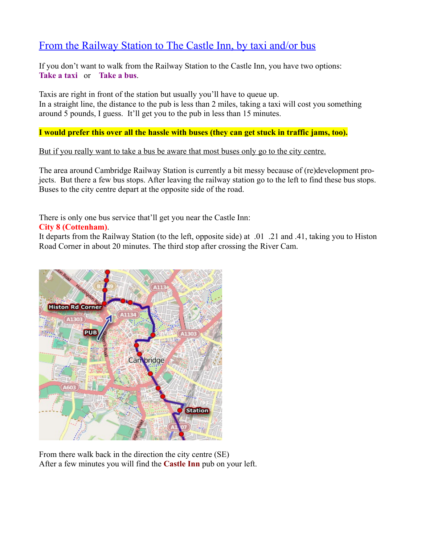## From the Railway Station to The Castle Inn, by taxi and/or bus

If you don't want to walk from the Railway Station to the Castle Inn, you have two options: **Take a taxi** or **Take a bus**.

Taxis are right in front of the station but usually you'll have to queue up. In a straight line, the distance to the pub is less than 2 miles, taking a taxi will cost you something around 5 pounds, I guess. It'll get you to the pub in less than 15 minutes.

**I would prefer this over all the hassle with buses (they can get stuck in traffic jams, too).**

But if you really want to take a bus be aware that most buses only go to the city centre.

The area around Cambridge Railway Station is currently a bit messy because of (re)development projects. But there a few bus stops. After leaving the railway station go to the left to find these bus stops. Buses to the city centre depart at the opposite side of the road.

There is only one bus service that'll get you near the Castle Inn:

## **City 8 (Cottenham)**.

It departs from the Railway Station (to the left, opposite side) at .01 .21 and .41, taking you to Histon Road Corner in about 20 minutes. The third stop after crossing the River Cam.



From there walk back in the direction the city centre (SE) After a few minutes you will find the **Castle Inn** pub on your left.